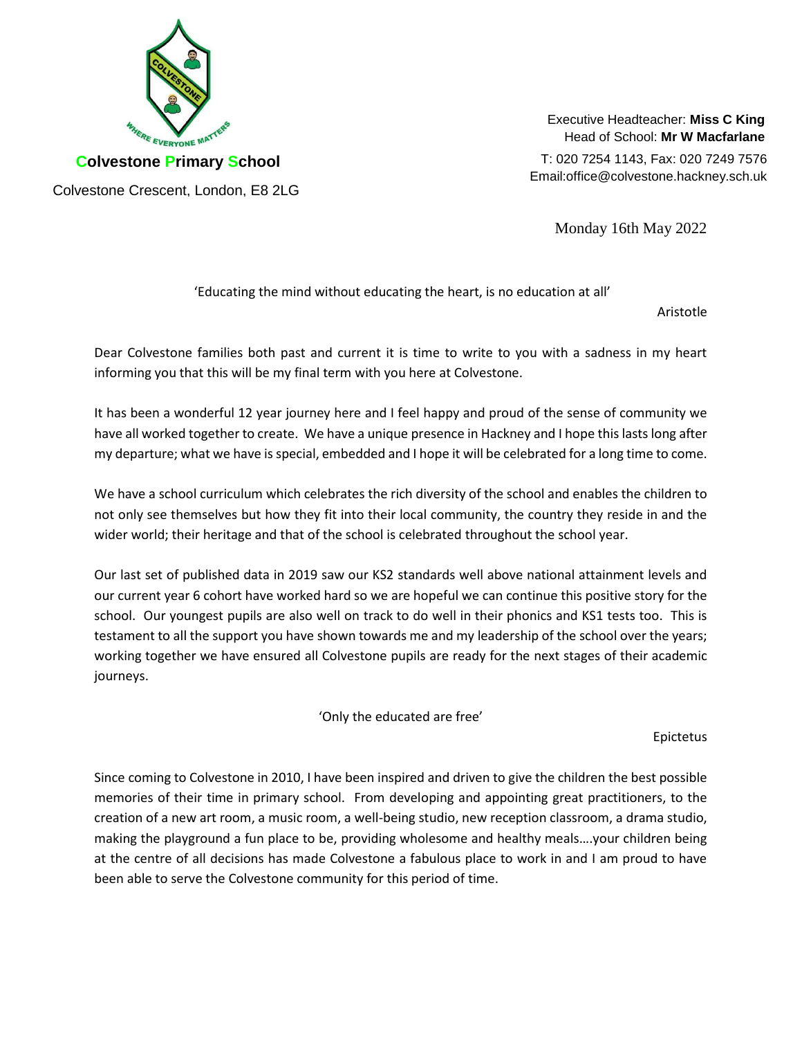

Executive Headteacher: **Miss C King** Head of School: **Mr W Macfarlane**

T: 020 7254 1143, Fax: 020 7249 7576 Email:office@colvestone.hackney.sch.uk

Monday 16th May 2022

'Educating the mind without educating the heart, is no education at all'

Aristotle

Dear Colvestone families both past and current it is time to write to you with a sadness in my heart informing you that this will be my final term with you here at Colvestone.

It has been a wonderful 12 year journey here and I feel happy and proud of the sense of community we have all worked together to create. We have a unique presence in Hackney and I hope this lasts long after my departure; what we have is special, embedded and I hope it will be celebrated for a long time to come.

We have a school curriculum which celebrates the rich diversity of the school and enables the children to not only see themselves but how they fit into their local community, the country they reside in and the wider world; their heritage and that of the school is celebrated throughout the school year.

Our last set of published data in 2019 saw our KS2 standards well above national attainment levels and our current year 6 cohort have worked hard so we are hopeful we can continue this positive story for the school. Our youngest pupils are also well on track to do well in their phonics and KS1 tests too. This is testament to all the support you have shown towards me and my leadership of the school over the years; working together we have ensured all Colvestone pupils are ready for the next stages of their academic journeys.

'Only the educated are free'

Epictetus

Since coming to Colvestone in 2010, I have been inspired and driven to give the children the best possible memories of their time in primary school. From developing and appointing great practitioners, to the creation of a new art room, a music room, a well-being studio, new reception classroom, a drama studio, making the playground a fun place to be, providing wholesome and healthy meals….your children being at the centre of all decisions has made Colvestone a fabulous place to work in and I am proud to have been able to serve the Colvestone community for this period of time.